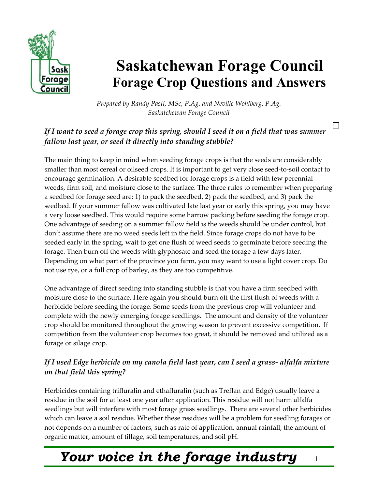

# **Saskatchewan Forage Council Forage Crop Questions and Answers**

*Prepared by Randy Pastl, MSc, P.Ag. and Neville Wohlberg, P.Ag. Saskatchewan Forage Council* 

### If I want to seed a forage crop this spring, should I seed it on a field that was summer *fallow last year, or seed it directly into standing stubble?*

The main thing to keep in mind when seeding forage crops is that the seeds are considerably smaller than most cereal or oilseed crops. It is important to get very close seed-to-soil contact to encourage germination. A desirable seedbed for forage crops is a field with few perennial weeds, firm soil, and moisture close to the surface. The three rules to remember when preparing a seedbed for forage seed are: 1) to pack the seedbed, 2) pack the seedbed, and 3) pack the seedbed. If your summer fallow was cultivated late last year or early this spring, you may have a very loose seedbed. This would require some harrow packing before seeding the forage crop. One advantage of seeding on a summer fallow field is the weeds should be under control, but don't assume there are no weed seeds left in the field. Since forage crops do not have to be seeded early in the spring, wait to get one flush of weed seeds to germinate before seeding the forage. Then burn off the weeds with glyphosate and seed the forage a few days later. Depending on what part of the province you farm, you may want to use a light cover crop. Do not use rye, or a full crop of barley, as they are too competitive.

One advantage of direct seeding into standing stubble is that you have a firm seedbed with moisture close to the surface. Here again you should burn off the first flush of weeds with a herbicide before seeding the forage. Some seeds from the previous crop will volunteer and complete with the newly emerging forage seedlings. The amount and density of the volunteer crop should be monitored throughout the growing season to prevent excessive competition. If competition from the volunteer crop becomes too great, it should be removed and utilized as a forage or silage crop.

### *If I used Edge herbicide on my canola field last year, can I seed a grass- alfalfa mixture on that field this spring?*

Herbicides containing trifluralin and ethafluralin (such as Treflan and Edge) usually leave a residue in the soil for at least one year after application. This residue will not harm alfalfa seedlings but will interfere with most forage grass seedlings. There are several other herbicides which can leave a soil residue. Whether these residues will be a problem for seedling forages or not depends on a number of factors, such as rate of application, annual rainfall, the amount of organic matter, amount of tillage, soil temperatures, and soil pH.

# *Your voice in the forage industry* <sup>1</sup>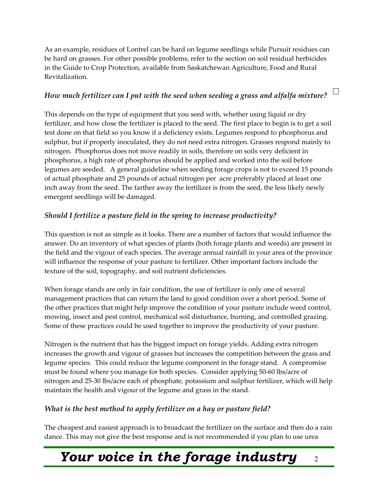As an example, residues of Lontrel can be hard on legume seedlings while Pursuit residues can be hard on grasses. For other possible problems, refer to the section on soil residual herbicides in the Guide to Crop Protection, available from Saskatchewan Agriculture, Food and Rural Revitalization.

# How much fertilizer can I put with the seed when seeding a grass and alfalfa mixture?  $\Box$

This depends on the type of equipment that you seed with, whether using liquid or dry fertilizer, and how close the fertilizer is placed to the seed. The first place to begin is to get a soil test done on that field so you know if a deficiency exists. Legumes respond to phosphorus and sulphur, but if properly inoculated, they do not need extra nitrogen. Grasses respond mainly to nitrogen. Phosphorus does not move readily in soils, therefore on soils very deficient in phosphorus, a high rate of phosphorus should be applied and worked into the soil before legumes are seeded. A general guideline when seeding forage crops is not to exceed 15 pounds of actual phosphate and 25 pounds of actual nitrogen per acre preferably placed at least one inch away from the seed. The farther away the fertilizer is from the seed, the less likely newly emergent seedlings will be damaged.

#### *Should I fertilize a pasture field in the spring to increase productivity?*

This question is not as simple as it looks. There are a number of factors that would influence the answer. Do an inventory of what species of plants (both forage plants and weeds) are present in the field and the vigour of each species. The average annual rainfall in your area of the province will influence the response of your pasture to fertilizer. Other important factors include the texture of the soil, topography, and soil nutrient deficiencies.

When forage stands are only in fair condition, the use of fertilizer is only one of several management practices that can return the land to good condition over a short period. Some of the other practices that might help improve the condition of your pasture include weed control, mowing, insect and pest control, mechanical soil disturbance, burning, and controlled grazing. Some of these practices could be used together to improve the productivity of your pasture.

Nitrogen is the nutrient that has the biggest impact on forage yields. Adding extra nitrogen increases the growth and vigour of grasses but increases the competition between the grass and legume species. This could reduce the legume component in the forage stand. A compromise must be found where you manage for both species. Consider applying 50-60 lbs/acre of nitrogen and 25-30 lbs/acre each of phosphate, potassium and sulphur fertilizer, which will help maintain the health and vigour of the legume and grass in the stand.

### *What is the best method to apply fertilizer on a hay or pasture field?*

The cheapest and easiest approach is to broadcast the fertilizer on the surface and then do a rain dance. This may not give the best response and is not recommended if you plan to use urea

### *Your voice in the forage industry* <sup>2</sup>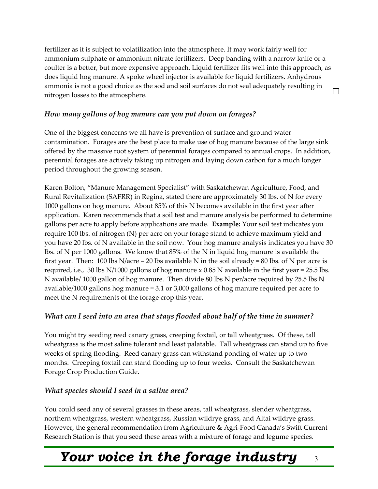fertilizer as it is subject to volatilization into the atmosphere. It may work fairly well for ammonium sulphate or ammonium nitrate fertilizers. Deep banding with a narrow knife or a coulter is a better, but more expensive approach. Liquid fertilizer fits well into this approach, as does liquid hog manure. A spoke wheel injector is available for liquid fertilizers. Anhydrous ammonia is not a good choice as the sod and soil surfaces do not seal adequately resulting in  $\Box$ nitrogen losses to the atmosphere.

#### *How many gallons of hog manure can you put down on forages?*

One of the biggest concerns we all have is prevention of surface and ground water contamination. Forages are the best place to make use of hog manure because of the large sink offered by the massive root system of perennial forages compared to annual crops. In addition, perennial forages are actively taking up nitrogen and laying down carbon for a much longer period throughout the growing season.

Karen Bolton, "Manure Management Specialist" with Saskatchewan Agriculture, Food, and Rural Revitalization (SAFRR) in Regina, stated there are approximately 30 lbs. of N for every 1000 gallons on hog manure. About 85% of this N becomes available in the first year after application. Karen recommends that a soil test and manure analysis be performed to determine gallons per acre to apply before applications are made. **Example:** Your soil test indicates you require 100 lbs. of nitrogen (N) per acre on your forage stand to achieve maximum yield and you have 20 lbs. of N available in the soil now. Your hog manure analysis indicates you have 30 lbs. of N per 1000 gallons. We know that 85% of the N in liquid hog manure is available the first year. Then: 100 lbs N/acre – 20 lbs available N in the soil already = 80 lbs. of N per acre is required, i.e., 30 lbs  $N/1000$  gallons of hog manure x 0.85 N available in the first year = 25.5 lbs. N available/ 1000 gallon of hog manure. Then divide 80 lbs N per/acre required by 25.5 lbs N available/1000 gallons hog manure = 3.1 or 3,000 gallons of hog manure required per acre to meet the N requirements of the forage crop this year.

#### *What can I seed into an area that stays flooded about half of the time in summer?*

You might try seeding reed canary grass, creeping foxtail, or tall wheatgrass. Of these, tall wheatgrass is the most saline tolerant and least palatable. Tall wheatgrass can stand up to five weeks of spring flooding. Reed canary grass can withstand ponding of water up to two months. Creeping foxtail can stand flooding up to four weeks. Consult the Saskatchewan Forage Crop Production Guide.

#### *What species should I seed in a saline area?*

You could seed any of several grasses in these areas, tall wheatgrass, slender wheatgrass, northern wheatgrass, western wheatgrass, Russian wildrye grass, and Altai wildrye grass. However, the general recommendation from Agriculture & Agri-Food Canada's Swift Current Research Station is that you seed these areas with a mixture of forage and legume species.

# *Your voice in the forage industry*